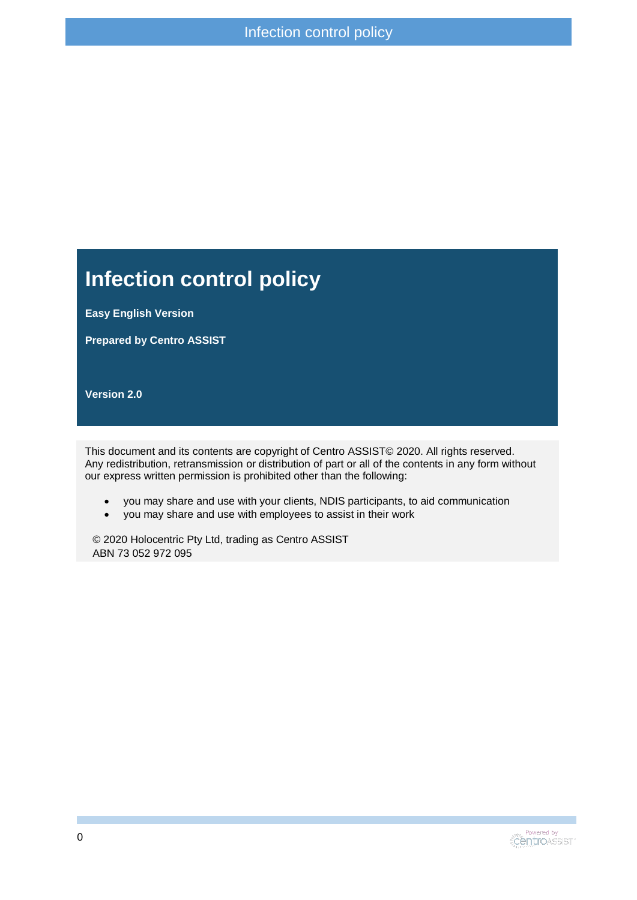#### **Infection control policy**

**Easy English Version**

**Prepared by Centro ASSIST**

**Version 2.0**

This document and its contents are copyright of Centro ASSIST© 2020. All rights reserved. Any redistribution, retransmission or distribution of part or all of the contents in any form without our express written permission is prohibited other than the following:

- you may share and use with your clients, NDIS participants, to aid communication
- you may share and use with employees to assist in their work

© 2020 Holocentric Pty Ltd, trading as Centro ASSIST ABN 73 052 972 095

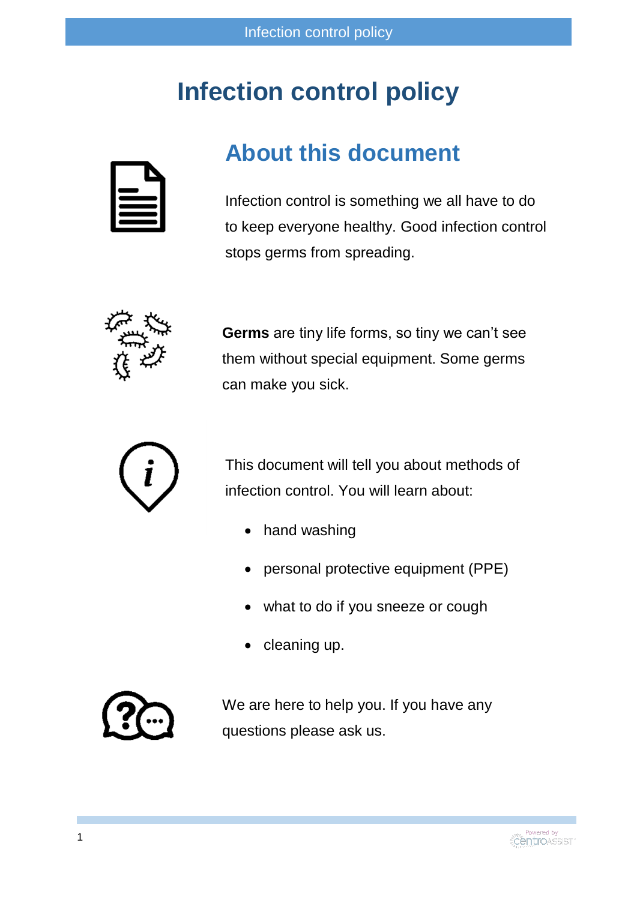## **Infection control policy**

#### **About this document**

Infection control is something we all have to do to keep everyone healthy. Good infection control stops germs from spreading.



**Germs** are tiny life forms, so tiny we can't see them without special equipment. Some germs can make you sick.



This document will tell you about methods of infection control. You will learn about:

- hand washing
- personal protective equipment (PPE)
- what to do if you sneeze or cough
- cleaning up.



We are here to help you. If you have any questions please ask us.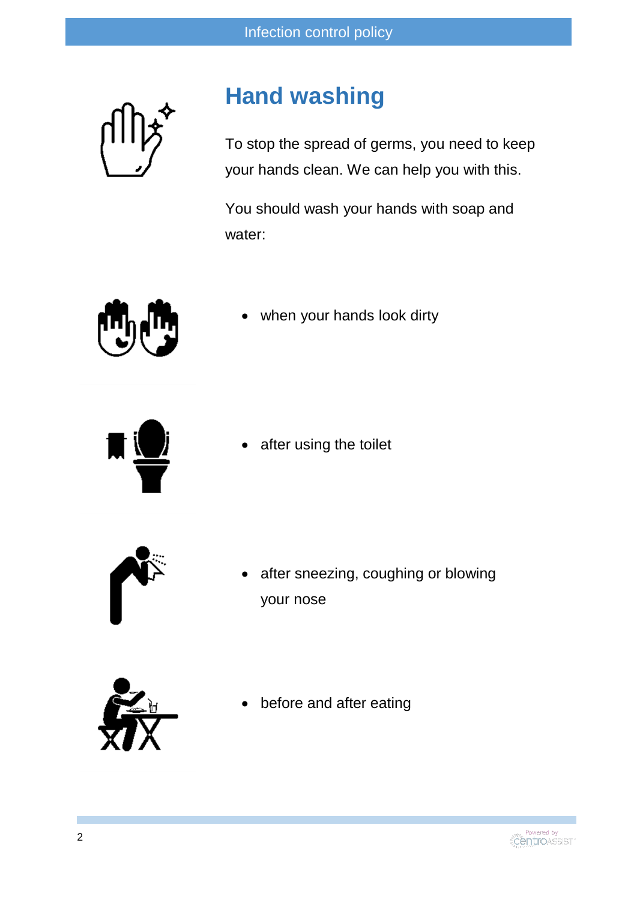#### **Hand washing**

To stop the spread of germs, you need to keep your hands clean. We can help you with this.

You should wash your hands with soap and water:



when your hands look dirty



after using the toilet



 after sneezing, coughing or blowing your nose



before and after eating

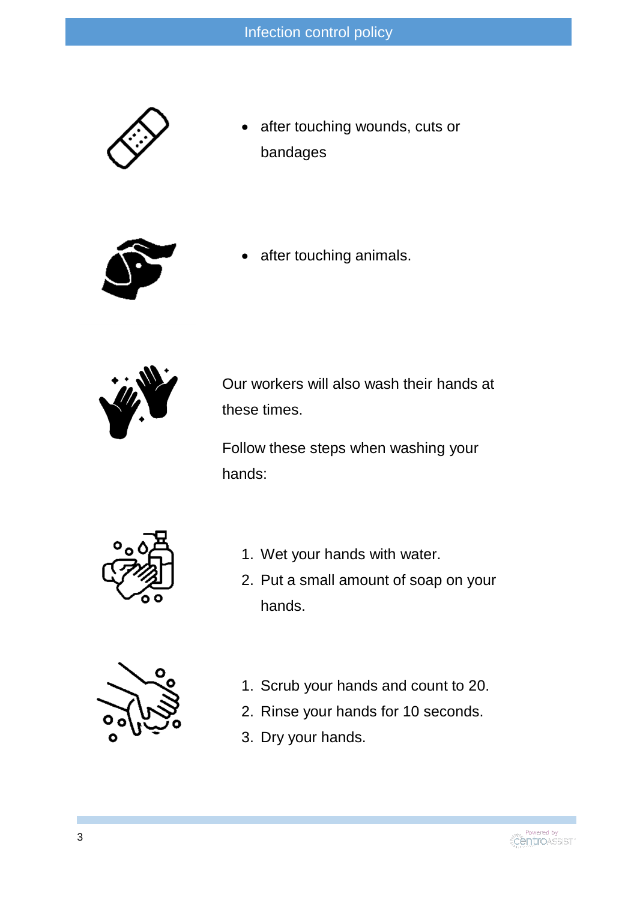

 after touching wounds, cuts or bandages



after touching animals.



Our workers will also wash their hands at these times.

Follow these steps when washing your hands:



- 1. Wet your hands with water.
- 2. Put a small amount of soap on your hands.



- 1. Scrub your hands and count to 20.
- 2. Rinse your hands for 10 seconds.
- 3. Dry your hands.

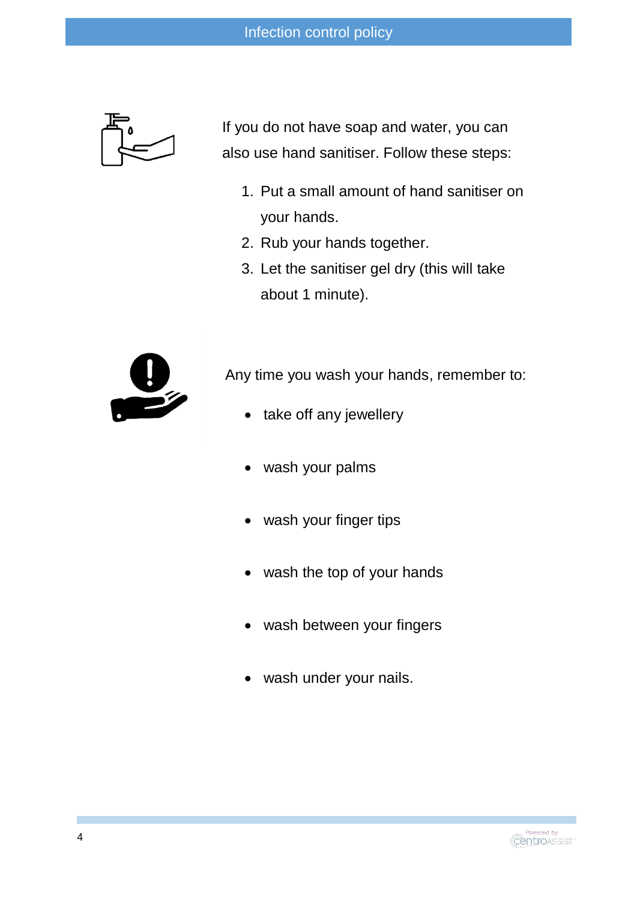

If you do not have soap and water, you can also use hand sanitiser. Follow these steps:

- 1. Put a small amount of hand sanitiser on your hands.
- 2. Rub your hands together.
- 3. Let the sanitiser gel dry (this will take about 1 minute).



Any time you wash your hands, remember to:

- take off any jewellery
- wash your palms
- wash your finger tips
- wash the top of your hands
- wash between your fingers
- wash under your nails.

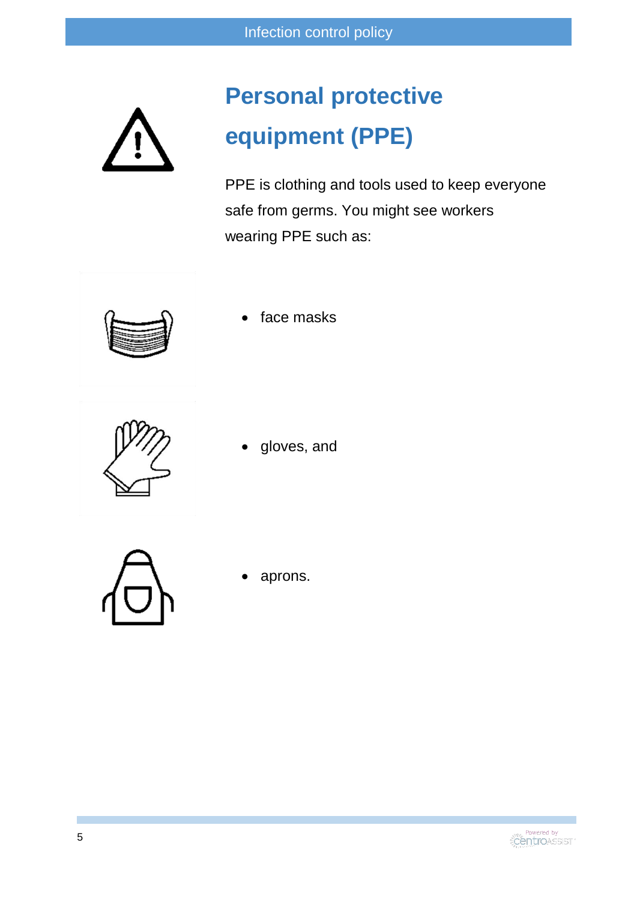# **Personal protective equipment (PPE)**

PPE is clothing and tools used to keep everyone safe from germs. You might see workers wearing PPE such as:



face masks



gloves, and



aprons.

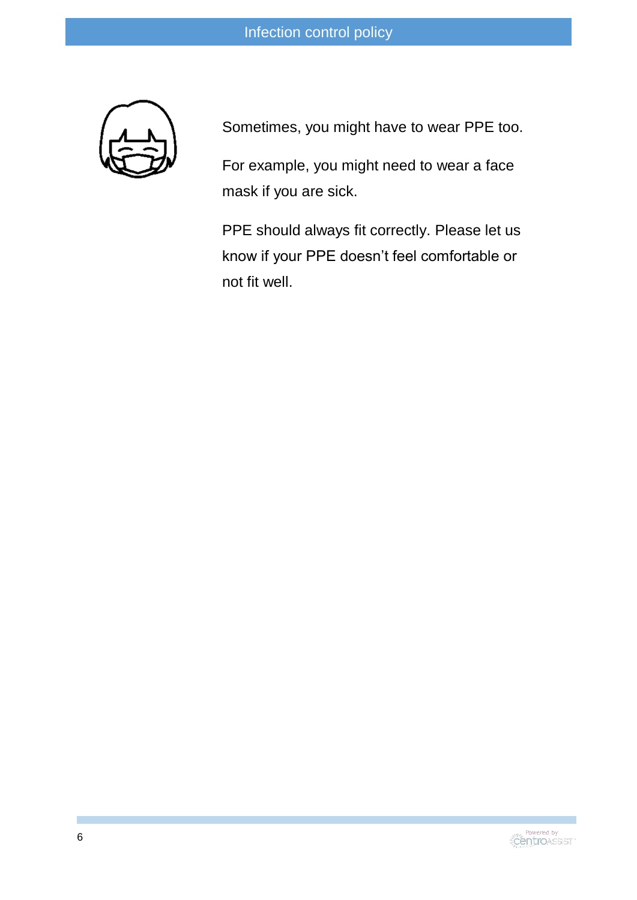Sometimes, you might have to wear PPE too.

For example, you might need to wear a face mask if you are sick.

PPE should always fit correctly. Please let us know if your PPE doesn't feel comfortable or not fit well.

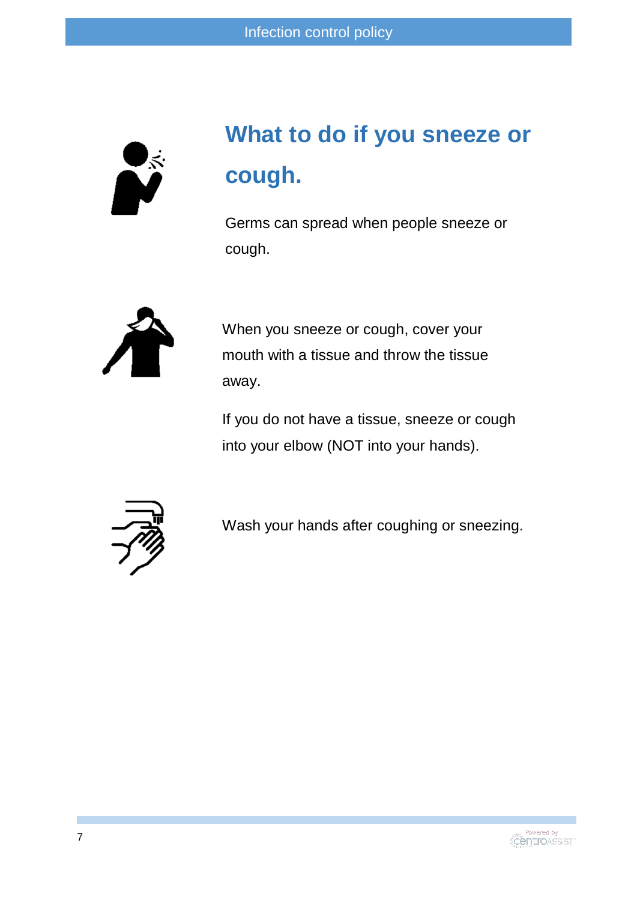

# **What to do if you sneeze or cough.**

Germs can spread when people sneeze or cough.



When you sneeze or cough, cover your mouth with a tissue and throw the tissue away.

If you do not have a tissue, sneeze or cough into your elbow (NOT into your hands).



Wash your hands after coughing or sneezing.